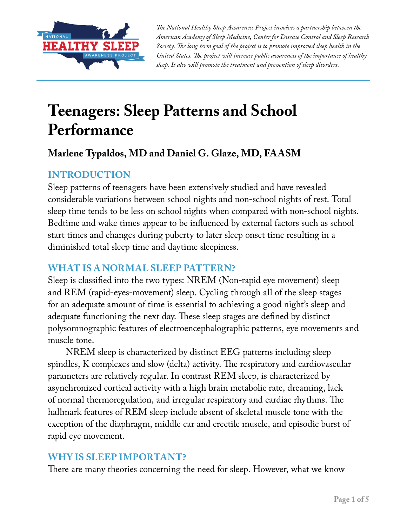

*The National Healthy Sleep Awareness Project involves a partnership between the American Academy of Sleep Medicine, Center for Disease Control and Sleep Research Society. The long term goal of the project is to promote improved sleep health in the United States. The project will increase public awareness of the importance of healthy sleep. It also will promote the treatment and prevention of sleep disorders.*

# **Teenagers: Sleep Patterns and School Performance**

## **Marlene Typaldos, MD and Daniel G. Glaze, MD, FAASM**

## **INTRODUCTION**

Sleep patterns of teenagers have been extensively studied and have revealed considerable variations between school nights and non-school nights of rest. Total sleep time tends to be less on school nights when compared with non-school nights. Bedtime and wake times appear to be influenced by external factors such as school start times and changes during puberty to later sleep onset time resulting in a diminished total sleep time and daytime sleepiness.

## **WHAT IS A NORMAL SLEEP PATTERN?**

Sleep is classified into the two types: NREM (Non-rapid eye movement) sleep and REM (rapid-eyes-movement) sleep. Cycling through all of the sleep stages for an adequate amount of time is essential to achieving a good night's sleep and adequate functioning the next day. These sleep stages are defined by distinct polysomnographic features of electroencephalographic patterns, eye movements and muscle tone.

NREM sleep is characterized by distinct EEG patterns including sleep spindles, K complexes and slow (delta) activity. The respiratory and cardiovascular parameters are relatively regular. In contrast REM sleep, is characterized by asynchronized cortical activity with a high brain metabolic rate, dreaming, lack of normal thermoregulation, and irregular respiratory and cardiac rhythms. The hallmark features of REM sleep include absent of skeletal muscle tone with the exception of the diaphragm, middle ear and erectile muscle, and episodic burst of rapid eye movement.

## **WHY IS SLEEP IMPORTANT?**

There are many theories concerning the need for sleep. However, what we know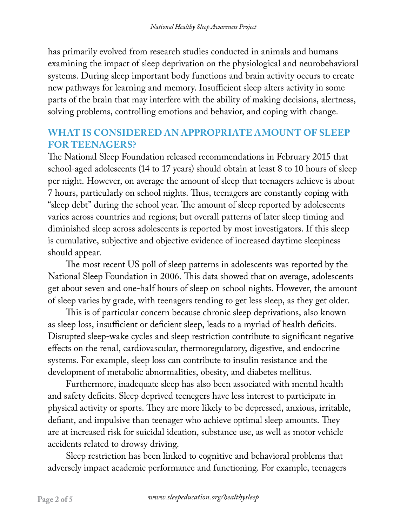has primarily evolved from research studies conducted in animals and humans examining the impact of sleep deprivation on the physiological and neurobehavioral systems. During sleep important body functions and brain activity occurs to create new pathways for learning and memory. Insufficient sleep alters activity in some parts of the brain that may interfere with the ability of making decisions, alertness, solving problems, controlling emotions and behavior, and coping with change.

## **WHAT IS CONSIDERED AN APPROPRIATE AMOUNT OF SLEEP FOR TEENAGERS?**

The National Sleep Foundation released recommendations in February 2015 that school-aged adolescents (14 to 17 years) should obtain at least 8 to 10 hours of sleep per night. However, on average the amount of sleep that teenagers achieve is about 7 hours, particularly on school nights. Thus, teenagers are constantly coping with "sleep debt" during the school year. The amount of sleep reported by adolescents varies across countries and regions; but overall patterns of later sleep timing and diminished sleep across adolescents is reported by most investigators. If this sleep is cumulative, subjective and objective evidence of increased daytime sleepiness should appear.

The most recent US poll of sleep patterns in adolescents was reported by the National Sleep Foundation in 2006. This data showed that on average, adolescents get about seven and one-half hours of sleep on school nights. However, the amount of sleep varies by grade, with teenagers tending to get less sleep, as they get older.

This is of particular concern because chronic sleep deprivations, also known as sleep loss, insufficient or deficient sleep, leads to a myriad of health deficits. Disrupted sleep-wake cycles and sleep restriction contribute to significant negative effects on the renal, cardiovascular, thermoregulatory, digestive, and endocrine systems. For example, sleep loss can contribute to insulin resistance and the development of metabolic abnormalities, obesity, and diabetes mellitus.

Furthermore, inadequate sleep has also been associated with mental health and safety deficits. Sleep deprived teenegers have less interest to participate in physical activity or sports. They are more likely to be depressed, anxious, irritable, defiant, and impulsive than teenager who achieve optimal sleep amounts. They are at increased risk for suicidal ideation, substance use, as well as motor vehicle accidents related to drowsy driving.

Sleep restriction has been linked to cognitive and behavioral problems that adversely impact academic performance and functioning. For example, teenagers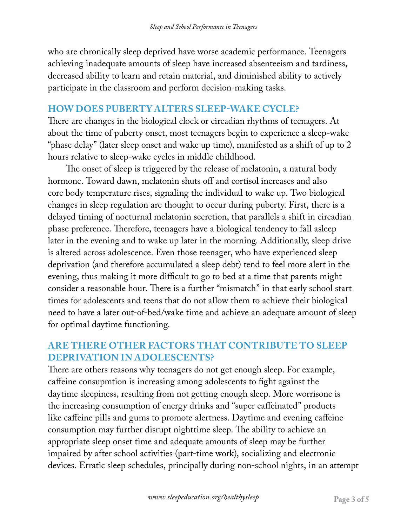who are chronically sleep deprived have worse academic performance. Teenagers achieving inadequate amounts of sleep have increased absenteeism and tardiness, decreased ability to learn and retain material, and diminished ability to actively participate in the classroom and perform decision-making tasks.

#### **HOW DOES PUBERTY ALTERS SLEEP-WAKE CYCLE?**

There are changes in the biological clock or circadian rhythms of teenagers. At about the time of puberty onset, most teenagers begin to experience a sleep-wake "phase delay" (later sleep onset and wake up time), manifested as a shift of up to 2 hours relative to sleep-wake cycles in middle childhood.

The onset of sleep is triggered by the release of melatonin, a natural body hormone. Toward dawn, melatonin shuts off and cortisol increases and also core body temperature rises, signaling the individual to wake up. Two biological changes in sleep regulation are thought to occur during puberty. First, there is a delayed timing of nocturnal melatonin secretion, that parallels a shift in circadian phase preference. Therefore, teenagers have a biological tendency to fall asleep later in the evening and to wake up later in the morning. Additionally, sleep drive is altered across adolescence. Even those teenager, who have experienced sleep deprivation (and therefore accumulated a sleep debt) tend to feel more alert in the evening, thus making it more difficult to go to bed at a time that parents might consider a reasonable hour. There is a further "mismatch" in that early school start times for adolescents and teens that do not allow them to achieve their biological need to have a later out-of-bed/wake time and achieve an adequate amount of sleep for optimal daytime functioning.

## **ARE THERE OTHER FACTORS THAT CONTRIBUTE TO SLEEP DEPRIVATION IN ADOLESCENTS?**

There are others reasons why teenagers do not get enough sleep. For example, caffeine consupmtion is increasing among adolescents to fight against the daytime sleepiness, resulting from not getting enough sleep. More worrisone is the increasing consumption of energy drinks and "super caffeinated" products like caffeine pills and gums to promote alertness. Daytime and evening caffeine consumption may further disrupt nighttime sleep. The ability to achieve an appropriate sleep onset time and adequate amounts of sleep may be further impaired by after school activities (part-time work), socializing and electronic devices. Erratic sleep schedules, principally during non-school nights, in an attempt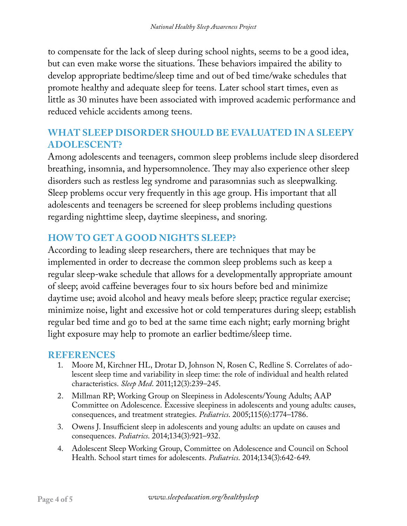to compensate for the lack of sleep during school nights, seems to be a good idea, but can even make worse the situations. These behaviors impaired the ability to develop appropriate bedtime/sleep time and out of bed time/wake schedules that promote healthy and adequate sleep for teens. Later school start times, even as little as 30 minutes have been associated with improved academic performance and reduced vehicle accidents among teens.

## **WHAT SLEEP DISORDER SHOULD BE EVALUATED IN A SLEEPY ADOLESCENT?**

Among adolescents and teenagers, common sleep problems include sleep disordered breathing, insomnia, and hypersomnolence. They may also experience other sleep disorders such as restless leg syndrome and parasomnias such as sleepwalking. Sleep problems occur very frequently in this age group. His important that all adolescents and teenagers be screened for sleep problems including questions regarding nighttime sleep, daytime sleepiness, and snoring.

## **HOW TO GET A GOOD NIGHTS SLEEP?**

According to leading sleep researchers, there are techniques that may be implemented in order to decrease the common sleep problems such as keep a regular sleep-wake schedule that allows for a developmentally appropriate amount of sleep; avoid caffeine beverages four to six hours before bed and minimize daytime use; avoid alcohol and heavy meals before sleep; practice regular exercise; minimize noise, light and excessive hot or cold temperatures during sleep; establish regular bed time and go to bed at the same time each night; early morning bright light exposure may help to promote an earlier bedtime/sleep time.

#### **REFERENCES**

- 1. Moore M, Kirchner HL, Drotar D, Johnson N, Rosen C, Redline S. Correlates of adolescent sleep time and variability in sleep time: the role of individual and health related characteristics. *Sleep Med*. 2011;12(3):239–245.
- 2. Millman RP; Working Group on Sleepiness in Adolescents/Young Adults; AAP Committee on Adolescence. Excessive sleepiness in adolescents and young adults: causes, consequences, and treatment strategies. *Pediatrics*. 2005;115(6):1774–1786.
- 3. Owens J. Insufficient sleep in adolescents and young adults: an update on causes and consequences. *Pediatrics*. 2014;134(3):921–932.
- 4. Adolescent Sleep Working Group, Committee on Adolescence and Council on School Health. School start times for adolescents. *Pediatrics*. 2014;134(3):642-649.